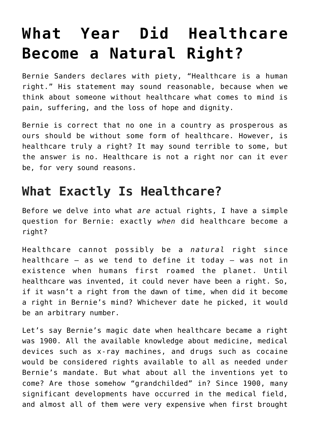## **[What Year Did Healthcare](https://intellectualtakeout.org/2020/02/what-year-did-healthcare-become-a-natural-right/) [Become a Natural Right?](https://intellectualtakeout.org/2020/02/what-year-did-healthcare-become-a-natural-right/)**

Bernie Sanders declares with piety, "Healthcare is a human right." His statement may sound reasonable, because when we think about someone without healthcare what comes to mind is pain, suffering, and the loss of hope and dignity.

Bernie is correct that no one in a country as prosperous as ours should be without some form of healthcare. However, is healthcare truly a right? It may sound terrible to some, but the answer is no. Healthcare is not a right nor can it ever be, for very sound reasons.

## **What Exactly Is Healthcare?**

Before we delve into what *are* actual rights, I have a simple question for Bernie: exactly *when* did healthcare become a right?

Healthcare cannot possibly be a *natural* right since healthcare – as we tend to define it today – was not in existence when humans first roamed the planet. Until healthcare was invented, it could never have been a right. So, if it wasn't a right from the dawn of time, when did it become a right in Bernie's mind? Whichever date he picked, it would be an arbitrary number.

Let's say Bernie's magic date when healthcare became a right was 1900. All the available knowledge about medicine, medical devices such as x-ray machines, and drugs such as cocaine would be considered rights available to all as needed under Bernie's mandate. But what about all the inventions yet to come? Are those somehow "grandchilded" in? Since 1900, many significant developments have occurred in the medical field, and almost all of them were very expensive when first brought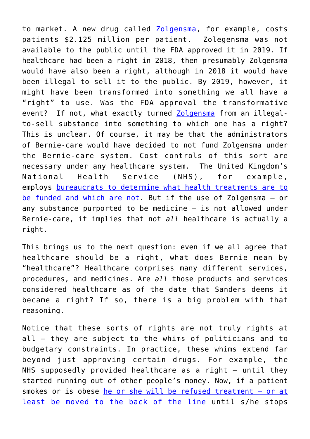to market. A new drug called [Zolgensma](https://www.npr.org/sections/health-shots/2019/05/24/725404168/at-2-125-million-new-gene-therapy-is-the-most-expensive-drug-ever), for example, costs patients \$2.125 million per patient. Zolegensma was not available to the public until the FDA approved it in 2019. If healthcare had been a right in 2018, then presumably Zolgensma would have also been a right, although in 2018 it would have been illegal to sell it to the public. By 2019, however, it might have been transformed into something we all have a "right" to use. Was the FDA approval the transformative event? If not, what exactly turned [Zolgensma](https://www.npr.org/sections/health-shots/2019/05/24/725404168/at-2-125-million-new-gene-therapy-is-the-most-expensive-drug-ever) from an illegalto-sell substance into something to which one has a right? This is unclear. Of course, it may be that the administrators of Bernie-care would have decided to not fund Zolgensma under the Bernie-care system. Cost controls of this sort are necessary under any healthcare system. The United Kingdom's National Health Service (NHS), for example, employs [bureaucrats to determine what health treatments are to](https://www.rnib.org.uk/services-we-offer-advice-professionals-nb-magazine-health-professionals-nb-features/how-nice-decides) [be funded and which are not](https://www.rnib.org.uk/services-we-offer-advice-professionals-nb-magazine-health-professionals-nb-features/how-nice-decides). But if the use of Zolgensma – or any substance purported to be medicine – is not allowed under Bernie-care, it implies that not *all* healthcare is actually a right.

This brings us to the next question: even if we all agree that healthcare should be a right, what does Bernie mean by "healthcare"? Healthcare comprises many different services, procedures, and medicines. Are *all* those products and services considered healthcare as of the date that Sanders deems it became a right? If so, there is a big problem with that reasoning.

Notice that these sorts of rights are not truly rights at all – they are subject to the whims of politicians and to budgetary constraints. In practice, these whims extend far beyond just approving certain drugs. For example, the NHS supposedly provided healthcare as a right – until they started running out of other people's money. Now, if a patient smokes or is obese [he or she will be refused treatment](https://www.dailymail.co.uk/health/article-5456789/Hospitals-refuse-surgery-smokers-obese-patients-slammed.html) [– or at](http://www.dailymail.co.uk/health/article-5456789/Hospitals-refuse-surgery-smokers-obese-patients-slammed.html) [least be moved to the back of the line](http://www.dailymail.co.uk/health/article-5456789/Hospitals-refuse-surgery-smokers-obese-patients-slammed.html) until s/he stops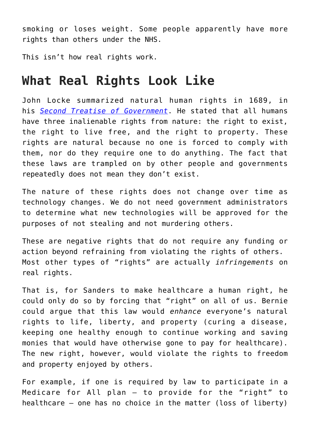smoking or loses weight. Some people apparently have more rights than others under the NHS.

This isn't how real rights work.

## **What Real Rights Look Like**

John Locke summarized natural human rights in 1689, in his *[Second Treatise of Government](https://www.gutenberg.org/files/7370/7370-h/7370-h.htm)*. He stated that all humans have three inalienable rights from nature: the right to exist, the right to live free, and the right to property. These rights are natural because no one is forced to comply with them, nor do they require one to do anything. The fact that these laws are trampled on by other people and governments repeatedly does not mean they don't exist.

The nature of these rights does not change over time as technology changes. We do not need government administrators to determine what new technologies will be approved for the purposes of not stealing and not murdering others.

These are negative rights that do not require any funding or action beyond refraining from violating the rights of others. Most other types of "rights" are actually *infringements* on real rights.

That is, for Sanders to make healthcare a human right, he could only do so by forcing that "right" on all of us. Bernie could argue that this law would *enhance* everyone's natural rights to life, liberty, and property (curing a disease, keeping one healthy enough to continue working and saving monies that would have otherwise gone to pay for healthcare). The new right, however, would violate the rights to freedom and property enjoyed by others.

For example, if one is required by law to participate in a Medicare for All plan – to provide for the "right" to healthcare – one has no choice in the matter (loss of liberty)